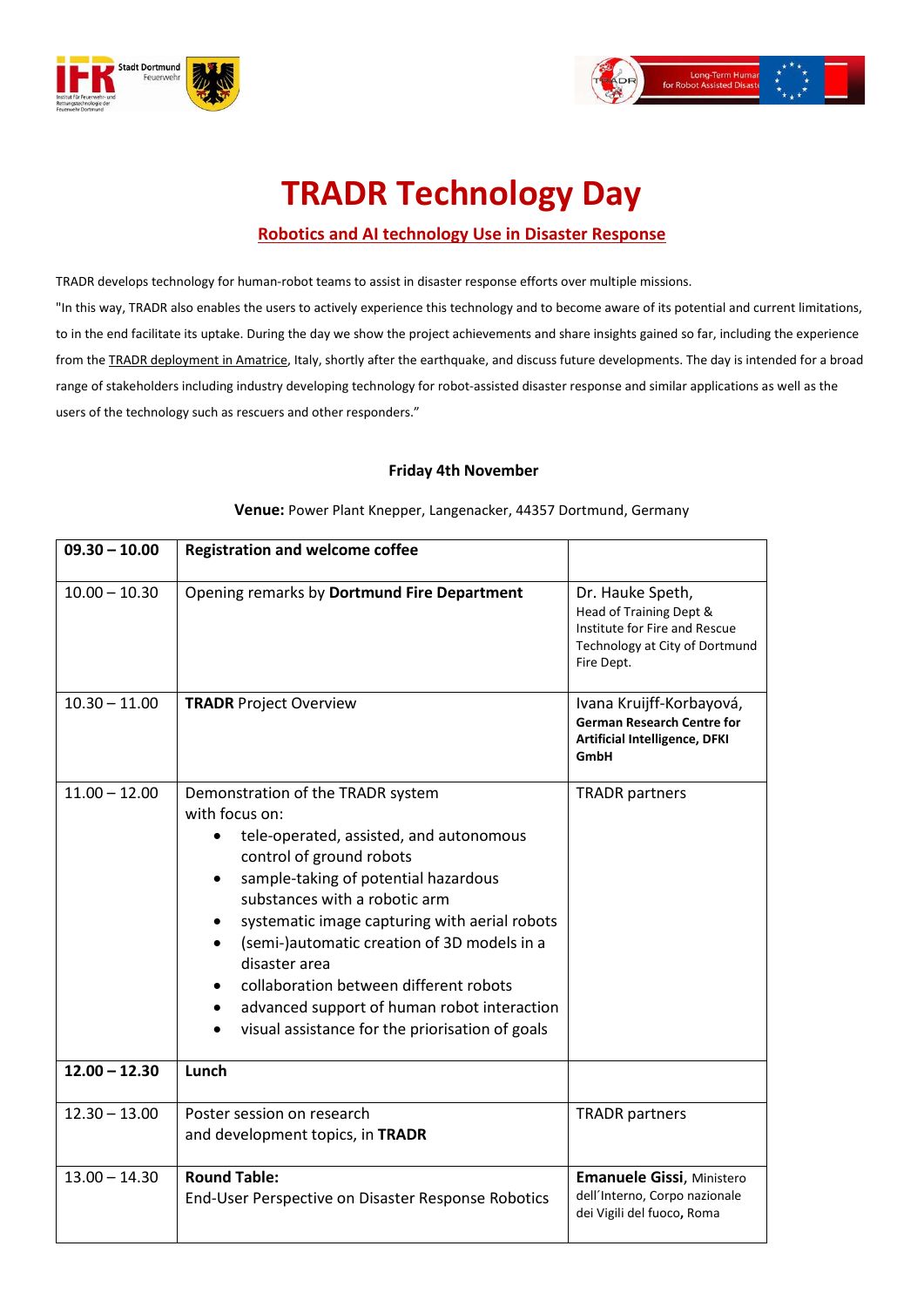



## **TRADR Technology Day**

## **Robotics and AI technology Use in Disaster Response**

TRADR develops technology for human-robot teams to assist in disaster response efforts over multiple missions. "In this way, TRADR also enables the users to actively experience this technology and to become aware of its potential and current limitations, to in the end facilitate its uptake. During the day we show the project achievements and share insights gained so far, including the experience from the TRADR [deployment](http://www.tradr-project.eu/?p=1835) in Amatrice, Italy, shortly after the earthquake, and discuss future developments. The day is intended for a broad range of stakeholders including industry developing technology for robot-assisted disaster response and similar applications as well as the users of the technology such as rescuers and other responders."

## **Friday 4th November**

| $09.30 - 10.00$                    | <b>Registration and welcome coffee</b>                                                                                                                                                                                                                                                                                                                                                                                                                                                                   |                                                                                                                              |
|------------------------------------|----------------------------------------------------------------------------------------------------------------------------------------------------------------------------------------------------------------------------------------------------------------------------------------------------------------------------------------------------------------------------------------------------------------------------------------------------------------------------------------------------------|------------------------------------------------------------------------------------------------------------------------------|
| $10.00 - 10.30$                    | Opening remarks by Dortmund Fire Department                                                                                                                                                                                                                                                                                                                                                                                                                                                              | Dr. Hauke Speth,<br>Head of Training Dept &<br>Institute for Fire and Rescue<br>Technology at City of Dortmund<br>Fire Dept. |
| $10.30 - 11.00$                    | <b>TRADR Project Overview</b>                                                                                                                                                                                                                                                                                                                                                                                                                                                                            | Ivana Kruijff-Korbayová,<br><b>German Research Centre for</b><br><b>Artificial Intelligence, DFKI</b><br>GmbH                |
| $11.00 - 12.00$<br>$12.00 - 12.30$ | Demonstration of the TRADR system<br>with focus on:<br>tele-operated, assisted, and autonomous<br>control of ground robots<br>sample-taking of potential hazardous<br>substances with a robotic arm<br>systematic image capturing with aerial robots<br>(semi-)automatic creation of 3D models in a<br>$\bullet$<br>disaster area<br>collaboration between different robots<br>٠<br>advanced support of human robot interaction<br>$\bullet$<br>visual assistance for the priorisation of goals<br>Lunch | <b>TRADR</b> partners                                                                                                        |
|                                    |                                                                                                                                                                                                                                                                                                                                                                                                                                                                                                          |                                                                                                                              |
| $12.30 - 13.00$                    | Poster session on research<br>and development topics, in TRADR                                                                                                                                                                                                                                                                                                                                                                                                                                           | <b>TRADR</b> partners                                                                                                        |
| $13.00 - 14.30$                    | <b>Round Table:</b><br>End-User Perspective on Disaster Response Robotics                                                                                                                                                                                                                                                                                                                                                                                                                                | Emanuele Gissi, Ministero<br>dell'Interno, Corpo nazionale<br>dei Vigili del fuoco, Roma                                     |

**Venue:** Power Plant Knepper, Langenacker, 44357 Dortmund, Germany